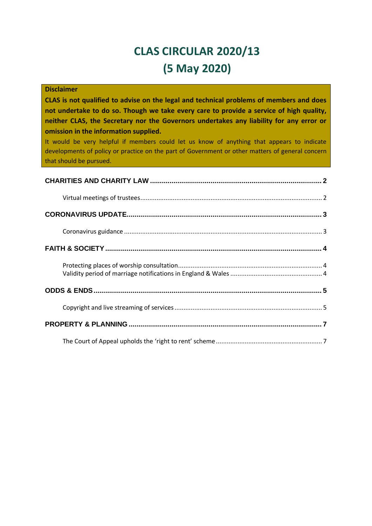# **CLAS CIRCULAR 2020/13 (5 May 2020)**

| <b>Disclaimer</b><br>CLAS is not qualified to advise on the legal and technical problems of members and does<br>not undertake to do so. Though we take every care to provide a service of high quality,<br>neither CLAS, the Secretary nor the Governors undertakes any liability for any error or<br>omission in the information supplied.<br>It would be very helpful if members could let us know of anything that appears to indicate<br>developments of policy or practice on the part of Government or other matters of general concern<br>that should be pursued. |
|--------------------------------------------------------------------------------------------------------------------------------------------------------------------------------------------------------------------------------------------------------------------------------------------------------------------------------------------------------------------------------------------------------------------------------------------------------------------------------------------------------------------------------------------------------------------------|
|                                                                                                                                                                                                                                                                                                                                                                                                                                                                                                                                                                          |
|                                                                                                                                                                                                                                                                                                                                                                                                                                                                                                                                                                          |
|                                                                                                                                                                                                                                                                                                                                                                                                                                                                                                                                                                          |
|                                                                                                                                                                                                                                                                                                                                                                                                                                                                                                                                                                          |
|                                                                                                                                                                                                                                                                                                                                                                                                                                                                                                                                                                          |
|                                                                                                                                                                                                                                                                                                                                                                                                                                                                                                                                                                          |
|                                                                                                                                                                                                                                                                                                                                                                                                                                                                                                                                                                          |
|                                                                                                                                                                                                                                                                                                                                                                                                                                                                                                                                                                          |
|                                                                                                                                                                                                                                                                                                                                                                                                                                                                                                                                                                          |
|                                                                                                                                                                                                                                                                                                                                                                                                                                                                                                                                                                          |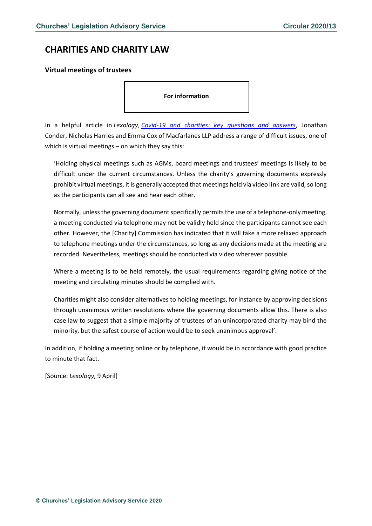### <span id="page-1-0"></span>**CHARITIES AND CHARITY LAW**

#### <span id="page-1-1"></span>**Virtual meetings of trustees**

**For information** 

In a helpful article in *Lexology*, *[Covid-19 and charities: key questions and answers](https://www.lexology.com/library/detail.aspx?g=b0e18006-a217-4434-a2cb-63fe0cc8846f&utm_source=Lexology+Daily+Newsfeed&utm_medium=HTML+email+-+Body+-+General+section&utm_campaign=Lexology+subscriber+daily+feed&utm_content=Lexology+Daily+Newsfeed+2020-04-23&utm_term=)*, Jonathan Conder, Nicholas Harries and Emma Cox of Macfarlanes LLP address a range of difficult issues, one of which is virtual meetings – on which they say this:

'Holding physical meetings such as AGMs, board meetings and trustees' meetings is likely to be difficult under the current circumstances. Unless the charity's governing documents expressly prohibit virtual meetings, it is generally accepted that meetings held via video link are valid, so long as the participants can all see and hear each other.

Normally, unless the governing document specifically permits the use of a telephone-only meeting, a meeting conducted via telephone may not be validly held since the participants cannot see each other. However, the [Charity] Commission has indicated that it will take a more relaxed approach to telephone meetings under the circumstances, so long as any decisions made at the meeting are recorded. Nevertheless, meetings should be conducted via video wherever possible.

Where a meeting is to be held remotely, the usual requirements regarding giving notice of the meeting and circulating minutes should be complied with.

Charities might also consider alternatives to holding meetings, for instance by approving decisions through unanimous written resolutions where the governing documents allow this. There is also case law to suggest that a simple majority of trustees of an unincorporated charity may bind the minority, but the safest course of action would be to seek unanimous approval'.

In addition, if holding a meeting online or by telephone, it would be in accordance with good practice to minute that fact.

[Source: *Lexology*, 9 April]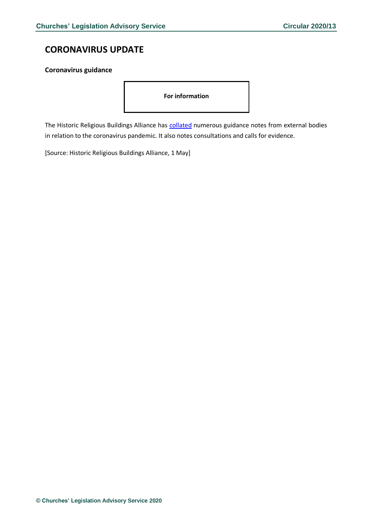# <span id="page-2-0"></span>**CORONAVIRUS UPDATE**

### <span id="page-2-1"></span>**Coronavirus guidance**

**For information** 

The Historic Religious Buildings Alliance has [collated](http://www.hrballiance.org.uk/coronavirus/) numerous guidance notes from external bodies in relation to the coronavirus pandemic. It also notes consultations and calls for evidence.

[Source: Historic Religious Buildings Alliance, 1 May]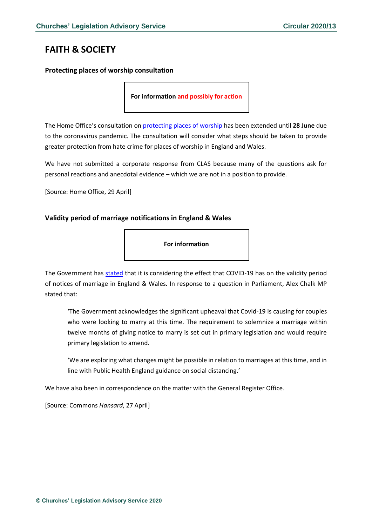# <span id="page-3-0"></span>**FAITH & SOCIETY**

### <span id="page-3-1"></span>**Protecting places of worship consultation**

**For information and possibly for action**

The Home Office's consultation on [protecting places of worship](https://www.gov.uk/government/consultations/protecting-places-of-worship-consultation?utm_source=75194a20-457e-4232-9564-e93144900463&utm_medium=email&utm_campaign=govuk-notifications&utm_content=daily) has been extended until **28 June** due to the coronavirus pandemic. The consultation will consider what steps should be taken to provide greater protection from hate crime for places of worship in England and Wales.

We have not submitted a corporate response from CLAS because many of the questions ask for personal reactions and anecdotal evidence – which we are not in a position to provide.

[Source: Home Office, 29 April]

### <span id="page-3-2"></span>**Validity period of marriage notifications in England & Wales**

**For information**

The Government has [stated](https://www.parliament.uk/business/publications/written-questions-answers-statements/written-question/Commons/2020-04-20/37869/) that it is considering the effect that COVID-19 has on the validity period of notices of marriage in England & Wales. In response to a question in Parliament, Alex Chalk MP stated that:

'The Government acknowledges the significant upheaval that Covid-19 is causing for couples who were looking to marry at this time. The requirement to solemnize a marriage within twelve months of giving notice to marry is set out in primary legislation and would require primary legislation to amend.

'We are exploring what changes might be possible in relation to marriages at this time, and in line with Public Health England guidance on social distancing.'

We have also been in correspondence on the matter with the General Register Office.

[Source: Commons *Hansard*, 27 April]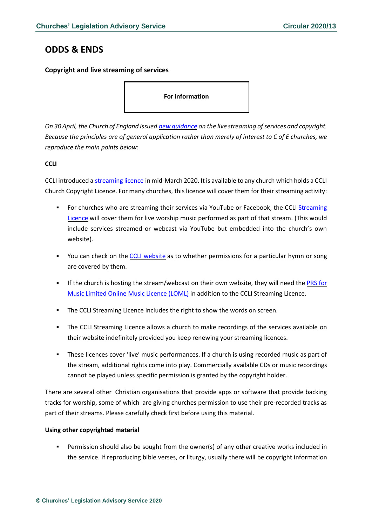### <span id="page-4-0"></span>**ODDS & ENDS**

### <span id="page-4-1"></span>**Copyright and live streaming of services**

### **For information**

*On 30 April, the Church of England issued new [guidance](https://www.churchofengland.org/more/media-centre/coronavirus-covid-19-guidance-churches) on the live streaming ofservices and copyright.* Because the principles are of general application rather than merely of interest to C of E churches, we *reproduce the main points below*:

### **CCLI**

CCLI introduced a [streaming](https://eur02.safelinks.protection.outlook.com/?url=https%3A%2F%2Fccli.com%2Fstreaming&data=02%7C01%7Cliz.morgan%40churchofengland.org%7C2bedd7b4ac654a93ab0708d7eb540eb8%7C95e2463b3ab047b49ac1587c77ee84f0%7C0%7C0%7C637236618574125135&sdata=McKBp1AFRKs0Jleg3re7suuHmhVvJOWXNnwkzzvEHhU%3D&reserved=0) licence in mid-March 2020. Itis available to any church which holds a CCLI Church Copyright Licence. For many churches, this licence will cover them for their streaming activity:

- For churches who are streaming their services via YouTube or Facebook, the CCLI [Streaming](https://eur02.safelinks.protection.outlook.com/?url=https%3A%2F%2Fccli.com%2Fstreaming&data=02%7C01%7Cliz.morgan%40churchofengland.org%7C2bedd7b4ac654a93ab0708d7eb540eb8%7C95e2463b3ab047b49ac1587c77ee84f0%7C0%7C0%7C637236618574125135&sdata=McKBp1AFRKs0Jleg3re7suuHmhVvJOWXNnwkzzvEHhU%3D&reserved=0) [Licence](https://eur02.safelinks.protection.outlook.com/?url=https%3A%2F%2Fccli.com%2Fstreaming&data=02%7C01%7Cliz.morgan%40churchofengland.org%7C2bedd7b4ac654a93ab0708d7eb540eb8%7C95e2463b3ab047b49ac1587c77ee84f0%7C0%7C0%7C637236618574125135&sdata=McKBp1AFRKs0Jleg3re7suuHmhVvJOWXNnwkzzvEHhU%3D&reserved=0) will cover them for live worship music performed as part of that stream. (This would include services streamed or webcast via YouTube but embedded into the church's own website).
- You can check on the CCLI [website](https://songselect.ccli.com/) as to whether permissions for a particular hymn or song are covered by them.
- If the church is hosting the stream/webcast on their own website, they will need the [PRS](https://eur02.safelinks.protection.outlook.com/?url=https%3A%2F%2Fwww.prsformusic.com%2Flicences%2Fusing-music-online%2Flimited-online-music-licence&data=02%7C01%7Cliz.morgan%40churchofengland.org%7C2bedd7b4ac654a93ab0708d7eb540eb8%7C95e2463b3ab047b49ac1587c77ee84f0%7C0%7C0%7C637236618574135097&sdata=S89AxK4ZmH4T9art6liNXIUgXRLHF2I2glah29nLd3Q%3D&reserved=0) for Music [Limited](https://eur02.safelinks.protection.outlook.com/?url=https%3A%2F%2Fwww.prsformusic.com%2Flicences%2Fusing-music-online%2Flimited-online-music-licence&data=02%7C01%7Cliz.morgan%40churchofengland.org%7C2bedd7b4ac654a93ab0708d7eb540eb8%7C95e2463b3ab047b49ac1587c77ee84f0%7C0%7C0%7C637236618574135097&sdata=S89AxK4ZmH4T9art6liNXIUgXRLHF2I2glah29nLd3Q%3D&reserved=0) Online Music Licence (LOML) in addition to the CCLI Streaming Licence.
- The CCLI Streaming Licence includes the right to show the words on screen.
- **•** The CCLI Streaming Licence allows a church to make recordings of the services available on their website indefinitely provided you keep renewing your streaming licences.
- **EXECT** These licences cover 'live' music performances. If a church is using recorded music as part of the stream, additional rights come into play. Commercially available CDs or music recordings cannot be played unless specific permission is granted by the copyright holder.

There are several other Christian organisations that provide apps or software that provide backing tracks for worship, some of which are giving churches permission to use their pre-recorded tracks as part of their streams. Please carefully check first before using this material.

### **Using other copyrighted material**

Permission should also be sought from the owner(s) of any other creative works included in the service. If reproducing bible verses, or liturgy, usually there will be copyright information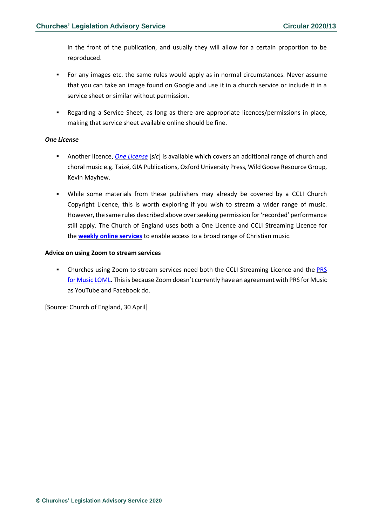in the front of the publication, and usually they will allow for a certain proportion to be reproduced.

- For any images etc. the same rules would apply as in normal circumstances. Never assume that you can take an image found on Google and use it in a church service or include it in a service sheet or similar without permission.
- Regarding a Service Sheet, as long as there are appropriate licences/permissions in place, making that service sheet available online should be fine.

### *One License*

- Another licence, *One [License](https://onelicense.net/)* [*sic*] is available which covers an additional range of church and choral music e.g. Taizé, GIA Publications, Oxford University Press, Wild Goose Resource Group, Kevin Mayhew.
- While some materials from these publishers may already be covered by a CCLI Church Copyright Licence, this is worth exploring if you wish to stream a wider range of music. However, the same rules described above overseeking permission for'recorded' performance still apply. The Church of England uses both a One Licence and CCLI Streaming Licence for the **weekly online [services](https://www.facebook.com/watch/thechurchofengland/218146942864999/)** to enable access to a broad range of Christian music.

### **Advice on using Zoom to stream services**

**EXECT** Churches using Zoom to stream services need both the CCLI Streaming Licence and the [PRS](https://www.prsformusic.com/licences/using-music-online/limited-online-music-licence) for Music [LOML.](https://www.prsformusic.com/licences/using-music-online/limited-online-music-licence) This is because Zoom doesn't currently have an agreement with PRS for Music as YouTube and Facebook do.

[Source: Church of England, 30 April]